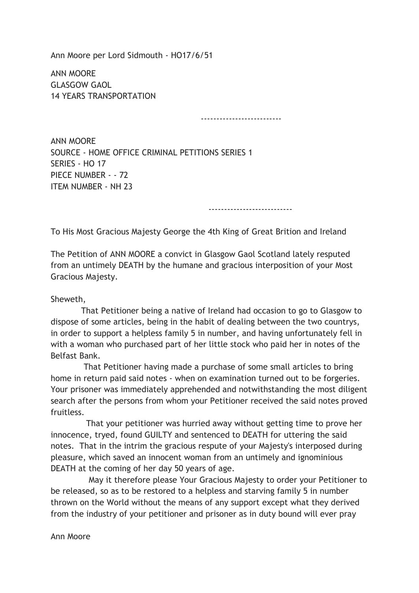Ann Moore per Lord Sidmouth - HO17/6/51

ANN MOORE GLASGOW GAOL 14 YEARS TRANSPORTATION

--------------------------

ANN MOORE SOURCE - HOME OFFICE CRIMINAL PETITIONS SERIES 1 SERIES - HO 17 PIECE NUMBER - - 72 ITEM NUMBER - NH 23

---------------------------

To His Most Gracious Majesty George the 4th King of Great Brition and Ireland

The Petition of ANN MOORE a convict in Glasgow Gaol Scotland lately resputed from an untimely DEATH by the humane and gracious interposition of your Most Gracious Majesty.

Sheweth,

 That Petitioner being a native of Ireland had occasion to go to Glasgow to dispose of some articles, being in the habit of dealing between the two countrys, in order to support a helpless family 5 in number, and having unfortunately fell in with a woman who purchased part of her little stock who paid her in notes of the Belfast Bank.

 That Petitioner having made a purchase of some small articles to bring home in return paid said notes - when on examination turned out to be forgeries. Your prisoner was immediately apprehended and notwithstanding the most diligent search after the persons from whom your Petitioner received the said notes proved fruitless.

 That your petitioner was hurried away without getting time to prove her innocence, tryed, found GUILTY and sentenced to DEATH for uttering the said notes. That in the intrim the gracious respute of your Majesty's interposed during pleasure, which saved an innocent woman from an untimely and ignominious DEATH at the coming of her day 50 years of age.

 May it therefore please Your Gracious Majesty to order your Petitioner to be released, so as to be restored to a helpless and starving family 5 in number thrown on the World without the means of any support except what they derived from the industry of your petitioner and prisoner as in duty bound will ever pray

Ann Moore